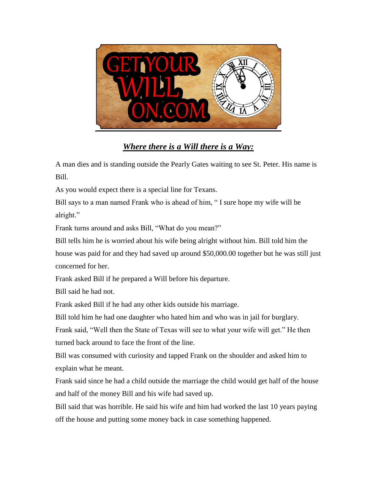

## *Where there is a Will there is a Way:*

A man dies and is standing outside the Pearly Gates waiting to see St. Peter. His name is Bill.

As you would expect there is a special line for Texans.

Bill says to a man named Frank who is ahead of him, " I sure hope my wife will be alright."

Frank turns around and asks Bill, "What do you mean?"

Bill tells him he is worried about his wife being alright without him. Bill told him the house was paid for and they had saved up around \$50,000.00 together but he was still just concerned for her.

Frank asked Bill if he prepared a Will before his departure.

Bill said he had not.

Frank asked Bill if he had any other kids outside his marriage.

Bill told him he had one daughter who hated him and who was in jail for burglary.

Frank said, "Well then the State of Texas will see to what your wife will get." He then turned back around to face the front of the line.

Bill was consumed with curiosity and tapped Frank on the shoulder and asked him to explain what he meant.

Frank said since he had a child outside the marriage the child would get half of the house and half of the money Bill and his wife had saved up.

Bill said that was horrible. He said his wife and him had worked the last 10 years paying off the house and putting some money back in case something happened.